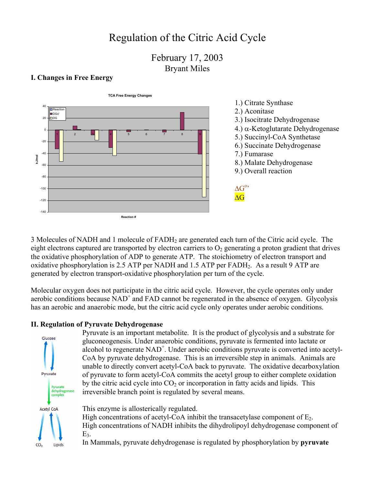# Regulation of the Citric Acid Cycle

February 17, 2003 Bryant Miles

#### **I. Changes in Free Energy**



3 Molecules of NADH and 1 molecule of FADH2 are generated each turn of the Citric acid cycle. The eight electrons captured are transported by electron carriers to  $O<sub>2</sub>$  generating a proton gradient that drives the oxidative phosphorylation of ADP to generate ATP. The stoichiometry of electron transport and oxidative phosphorylation is 2.5 ATP per NADH and 1.5 ATP per FADH2. As a result 9 ATP are generated by electron transport-oxidative phosphorylation per turn of the cycle.

Molecular oxygen does not participate in the citric acid cycle. However, the cycle operates only under aerobic conditions because  $NAD^+$  and FAD cannot be regenerated in the absence of oxygen. Glycolysis has an aerobic and anaerobic mode, but the citric acid cycle only operates under aerobic conditions.

### **II. Regulation of Pyruvate Dehydrogenase**



gluconeogenesis. Under anaerobic conditions, pyruvate is fermented into lactate or alcohol to regenerate NAD<sup>+</sup>. Under aerobic conditions pyruvate is converted into acetyl-CoA by pyruvate dehydrogenase. This is an irreversible step in animals. Animals are unable to directly convert acetyl-CoA back to pyruvate. The oxidative decarboxylation of pyruvate to form acetyl-CoA commits the acetyl group to either complete oxidation by the citric acid cycle into  $CO<sub>2</sub>$  or incorporation in fatty acids and lipids. This irreversible branch point is regulated by several means.

Pyruvate is an important metabolite. It is the product of glycolysis and a substrate for

This enzyme is allosterically regulated.

High concentrations of acetyl-CoA inhibit the transacetylase component of  $E_2$ . High concentrations of NADH inhibits the dihydrolipoyl dehydrogenase component of  $E<sub>3</sub>$ .

In Mammals, pyruvate dehydrogenase is regulated by phosphorylation by **pyruvate**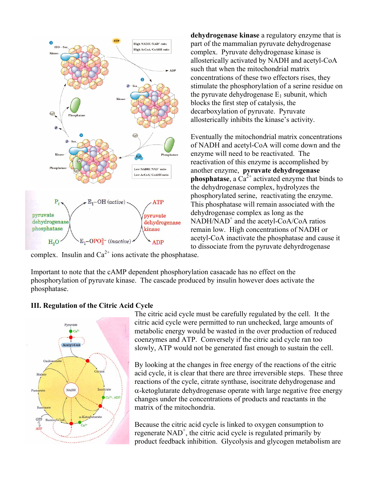

**dehydrogenase kinase** a regulatory enzyme that is part of the mammalian pyruvate dehydrogenase complex. Pyruvate dehydrogenase kinase is allosterically activated by NADH and acetyl-CoA such that when the mitochondrial matrix concentrations of these two effectors rises, they stimulate the phosphorylation of a serine residue on the pyruvate dehydrogenase  $E_1$  subunit, which blocks the first step of catalysis, the decarboxylation of pyruvate. Pyruvate allosterically inhibits the kinase's activity.

Eventually the mitochondrial matrix concentrations of NADH and acetyl-CoA will come down and the enzyme will need to be reactivated. The reactivation of this enzyme is accomplished by another enzyme, **pyruvate dehydrogenase phosphatase**, a  $Ca^{2+}$  activated enzyme that binds to the dehydrogenase complex, hydrolyzes the phosphorylated serine, reactivating the enzyme. This phosphatase will remain associated with the dehydrogenase complex as long as the NADH/NAD<sup>+</sup> and the acetyl-CoA/CoA ratios remain low. High concentrations of NADH or acetyl-CoA inactivate the phosphatase and cause it to dissociate from the pyruvate dehyrdrogenase

complex. Insulin and  $Ca^{2+}$  ions activate the phosphatase.

Important to note that the cAMP dependent phosphorylation casacade has no effect on the phosphorylation of pyruvate kinase. The cascade produced by insulin however does activate the phosphatase.

### **III. Regulation of the Citric Acid Cycle**



The citric acid cycle must be carefully regulated by the cell. It the citric acid cycle were permitted to run unchecked, large amounts of metabolic energy would be wasted in the over production of reduced coenzymes and ATP. Conversely if the citric acid cycle ran too slowly, ATP would not be generated fast enough to sustain the cell.

By looking at the changes in free energy of the reactions of the citric acid cycle, it is clear that there are three irreversible steps. These three reactions of the cycle, citrate synthase, isocitrate dehydrogenase and α-ketoglutarate dehydrogenase operate with large negative free energy changes under the concentrations of products and reactants in the matrix of the mitochondria.

Because the citric acid cycle is linked to oxygen consumption to regenerate  $NAD^+$ , the citric acid cycle is regulated primarily by product feedback inhibition. Glycolysis and glycogen metabolism are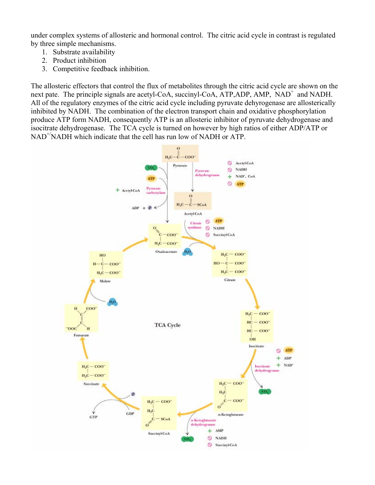under complex systems of allosteric and hormonal control. The citric acid cycle in contrast is regulated by three simple mechanisms.

- 1. Substrate availability
- 2. Product inhibition
- 3. Competitive feedback inhibition.

The allosteric effectors that control the flux of metabolites through the citric acid cycle are shown on the next pate. The principle signals are acetyl-CoA, succinyl-CoA, ATP, ADP, AMP, NAD<sup>+</sup> and NADH. All of the regulatory enzymes of the citric acid cycle including pyruvate dehyrogenase are allosterically inhibited by NADH. The combination of the electron transport chain and oxidative phosphorylation produce ATP form NADH, consequently ATP is an allosteric inhibitor of pyruvate dehydrogenase and isocitrate dehydrogenase. The TCA cycle is turned on however by high ratios of either ADP/ATP or NAD+/NADH which indicate that the cell has run low of NADH or ATP.

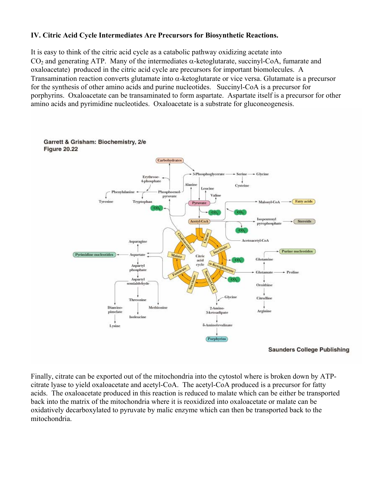## **IV. Citric Acid Cycle Intermediates Are Precursors for Biosynthetic Reactions.**

It is easy to think of the citric acid cycle as a catabolic pathway oxidizing acetate into CO<sub>2</sub> and generating ATP. Many of the intermediates  $\alpha$ -ketoglutarate, succinyl-CoA, fumarate and oxaloacetate) produced in the citric acid cycle are precursors for important biomolecules. A Transamination reaction converts glutamate into α-ketoglutarate or vice versa. Glutamate is a precursor for the synthesis of other amino acids and purine nucleotides. Succinyl-CoA is a precursor for porphyrins. Oxaloacetate can be transaminated to form aspartate. Aspartate itself is a precursor for other amino acids and pyrimidine nucleotides. Oxaloacetate is a substrate for gluconeogenesis.



**Saunders College Publishing** 

Finally, citrate can be exported out of the mitochondria into the cytostol where is broken down by ATPcitrate lyase to yield oxaloacetate and acetyl-CoA. The acetyl-CoA produced is a precursor for fatty acids. The oxaloacetate produced in this reaction is reduced to malate which can be either be transported back into the matrix of the mitochondria where it is reoxidized into oxaloacetate or malate can be oxidatively decarboxylated to pyruvate by malic enzyme which can then be transported back to the mitochondria.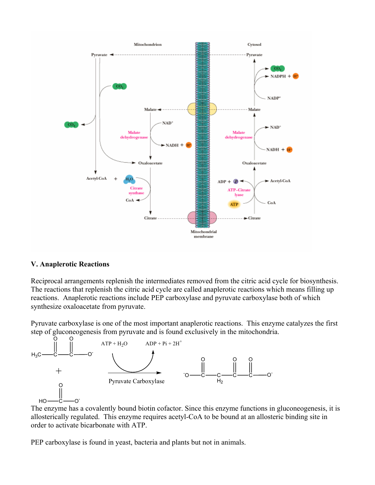

### **V. Anaplerotic Reactions**

Reciprocal arrangements replenish the intermediates removed from the citric acid cycle for biosynthesis. The reactions that replenish the citric acid cycle are called anaplerotic reactions which means filling up reactions. Anaplerotic reactions include PEP carboxylase and pyruvate carboxylase both of which synthesize oxaloacetate from pyruvate.

Pyruvate carboxylase is one of the most important anaplerotic reactions. This enzyme catalyzes the first step of gluconeogenesis from pyruvate and is found exclusively in the mitochondria.



The enzyme has a covalently bound biotin cofactor. Since this enzyme functions in gluconeogenesis, it is allosterically regulated. This enzyme requires acetyl-CoA to be bound at an allosteric binding site in order to activate bicarbonate with ATP.

PEP carboxylase is found in yeast, bacteria and plants but not in animals.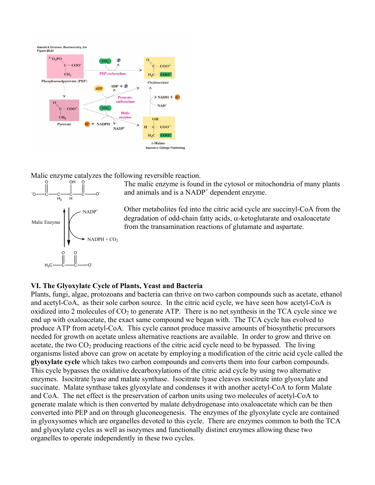

Malic enzyme catalyzes the following reversible reaction.



The malic enzyme is found in the cytosol or mitochondria of many plants and animals and is a NADP<sup>+</sup> dependent enzyme.

Other metabolites fed into the citric acid cycle are succinyl-CoA from the degradation of odd-chain fatty acids, α-ketoglutarate and oxaloacetate from the transamination reactions of glutamate and aspartate.

### **VI. The Glyoxylate Cycle of Plants, Yeast and Bacteria**

Plants, fungi, algae, protozoans and bacteria can thrive on two carbon compounds such as acetate, ethanol and acetyl-CoA, as their sole carbon source. In the citric acid cycle, we have seen how acetyl-CoA is oxidized into 2 molecules of  $CO<sub>2</sub>$  to generate ATP. There is no net synthesis in the TCA cycle since we end up with oxaloacetate, the exact same compound we began with. The TCA cycle has evolved to produce ATP from acetyl-CoA. This cycle cannot produce massive amounts of biosynthetic precursors needed for growth on acetate unless alternative reactions are available. In order to grow and thrive on acetate, the two  $CO<sub>2</sub>$  producing reactions of the citric acid cycle need to be bypassed. The living organisms listed above can grow on acetate by employing a modification of the citric acid cycle called the **glyoxylate cycle** which takes two carbon compounds and converts them into four carbon compounds. This cycle bypasses the oxidative decarboxylations of the citric acid cycle by using two alternative enzymes. Isocitrate lyase and malate synthase. Isocitrate lyase cleaves isocitrate into glyoxylate and succinate. Malate synthase takes glyoxylate and condenses it with another acetyl-CoA to form Malate and CoA. The net effect is the preservation of carbon units using two molecules of acetyl-CoA to generate malate which is then converted by malate dehydrogenase into oxaloacetate which can be then converted into PEP and on through gluconeogenesis. The enzymes of the glyoxylate cycle are contained in glyoxysomes which are organelles devoted to this cycle. There are enzymes common to both the TCA and glyoxylate cycles as well as isozymes and functionally distinct enzymes allowing these two organelles to operate independently in these two cycles.